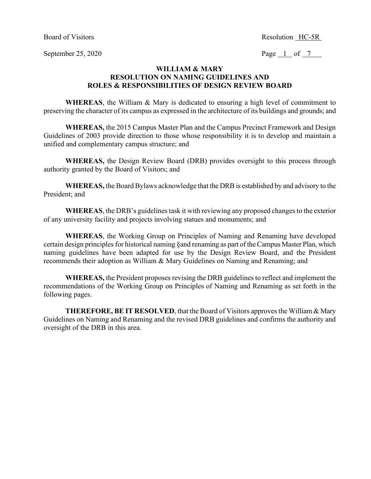Board of Visitors Resolution HC-5R

September 25, 2020 Page  $\frac{1}{7}$  of  $\frac{7}{7}$ 

#### **WILLIAM & MARY RESOLUTION ON NAMING GUIDELINES AND ROLES & RESPONSIBILITIES OF DESIGN REVIEW BOARD**

**WHEREAS**, the William & Mary is dedicated to ensuring a high level of commitment to preserving the character of its campus as expressed in the architecture of its buildings and grounds; and

**WHEREAS,** the 2015 Campus Master Plan and the Campus Precinct Framework and Design Guidelines of 2003 provide direction to those whose responsibility it is to develop and maintain a unified and complementary campus structure; and

**WHEREAS,** the Design Review Board (DRB) provides oversight to this process through authority granted by the Board of Visitors; and

**WHEREAS,** the Board Bylaws acknowledge that the DRB is established by and advisory to the President; and

**WHEREAS**, the DRB's guidelines task it with reviewing any proposed changes to the exterior of any university facility and projects involving statues and monuments; and

**WHEREAS**, the Working Group on Principles of Naming and Renaming have developed certain design principles for historical naming §and renaming as part of the Campus Master Plan, which naming guidelines have been adapted for use by the Design Review Board, and the President recommends their adoption as William & Mary Guidelines on Naming and Renaming; and

**WHEREAS,** the President proposes revising the DRB guidelines to reflect and implement the recommendations of the Working Group on Principles of Naming and Renaming as set forth in the following pages.

**THEREFORE, BE IT RESOLVED**, that the Board of Visitors approves the William & Mary Guidelines on Naming and Renaming and the revised DRB guidelines and confirms the authority and oversight of the DRB in this area.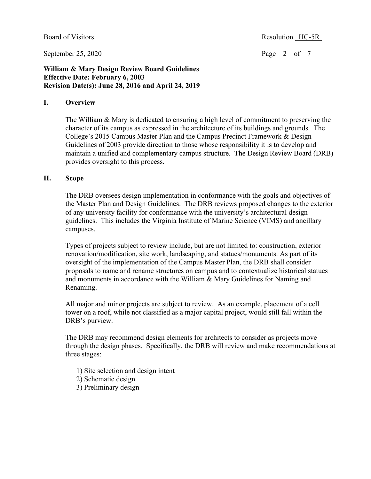September 25, 2020

Page  $2$  of  $7$ 

#### **William & Mary Design Review Board Guidelines Effective Date: February 6, 2003 Revision Date(s): June 28, 2016 and April 24, 2019**

#### **I. Overview**

The William & Mary is dedicated to ensuring a high level of commitment to preserving the character of its campus as expressed in the architecture of its buildings and grounds. The College's 2015 Campus Master Plan and the Campus Precinct Framework & Design Guidelines of 2003 provide direction to those whose responsibility it is to develop and maintain a unified and complementary campus structure. The Design Review Board (DRB) provides oversight to this process.

#### **II. Scope**

The DRB oversees design implementation in conformance with the goals and objectives of the Master Plan and Design Guidelines. The DRB reviews proposed changes to the exterior of any university facility for conformance with the university's architectural design guidelines. This includes the Virginia Institute of Marine Science (VIMS) and ancillary campuses.

Types of projects subject to review include, but are not limited to: construction, exterior renovation/modification, site work, landscaping, and statues/monuments. As part of its oversight of the implementation of the Campus Master Plan, the DRB shall consider proposals to name and rename structures on campus and to contextualize historical statues and monuments in accordance with the William & Mary Guidelines for Naming and Renaming.

All major and minor projects are subject to review. As an example, placement of a cell tower on a roof, while not classified as a major capital project, would still fall within the DRB's purview.

The DRB may recommend design elements for architects to consider as projects move through the design phases. Specifically, the DRB will review and make recommendations at three stages:

1) Site selection and design intent

2) Schematic design

3) Preliminary design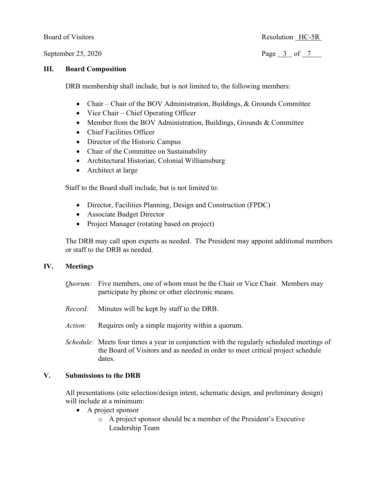#### **III. Board Composition**

DRB membership shall include, but is not limited to, the following members:

- Chair Chair of the BOV Administration, Buildings, & Grounds Committee
- Vice Chair Chief Operating Officer
- Member from the BOV Administration, Buildings, Grounds & Committee
- Chief Facilities Officer
- Director of the Historic Campus
- Chair of the Committee on Sustainability
- Architectural Historian, Colonial Williamsburg
- Architect at large

Staff to the Board shall include, but is not limited to:

- Director, Facilities Planning, Design and Construction (FPDC)
- Associate Budget Director
- Project Manager (rotating based on project)

The DRB may call upon experts as needed. The President may appoint additional members or staff to the DRB as needed.

#### **IV. Meetings**

- *Quorum:* Five members, one of whom must be the Chair or Vice Chair. Members may participate by phone or other electronic means.
- *Record:* Minutes will be kept by staff to the DRB.
- *Action:* Requires only a simple majority within a quorum.
- *Schedule:* Meets four times a year in conjunction with the regularly scheduled meetings of the Board of Visitors and as needed in order to meet critical project schedule dates.

#### **V. Submissions to the DRB**

All presentations (site selection/design intent, schematic design, and preliminary design) will include at a minimum:

- A project sponsor
	- o A project sponsor should be a member of the President's Executive Leadership Team

Board of Visitors Resolution HC-5R

September 25, 2020 Page 3 of 7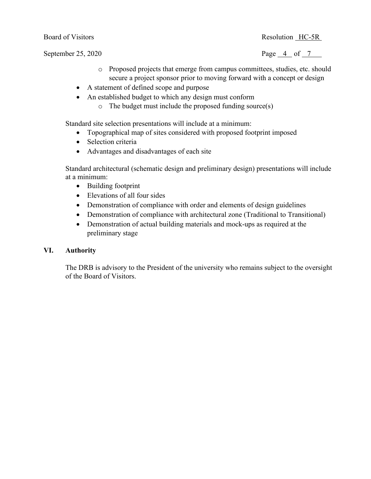Board of Visitors Resolution HC-5R

September 25, 2020 Page 4 of 7

- - o Proposed projects that emerge from campus committees, studies, etc. should secure a project sponsor prior to moving forward with a concept or design
	- A statement of defined scope and purpose
	- An established budget to which any design must conform
		- o The budget must include the proposed funding source(s)

Standard site selection presentations will include at a minimum:

- Topographical map of sites considered with proposed footprint imposed
- Selection criteria
- Advantages and disadvantages of each site

Standard architectural (schematic design and preliminary design) presentations will include at a minimum:

- Building footprint
- Elevations of all four sides
- Demonstration of compliance with order and elements of design guidelines
- Demonstration of compliance with architectural zone (Traditional to Transitional)
- Demonstration of actual building materials and mock-ups as required at the preliminary stage

## **VI. Authority**

The DRB is advisory to the President of the university who remains subject to the oversight of the Board of Visitors.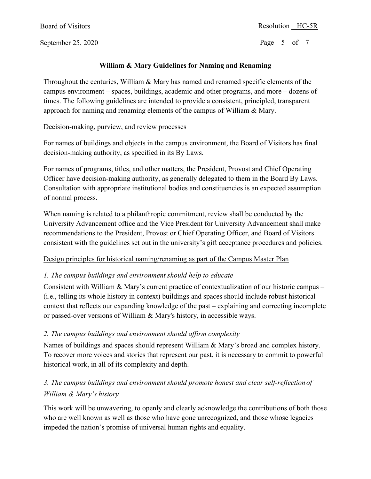Board of Visitors

September 25, 2020

### Resolution HC-5R

Page 5 of 7

## **William & Mary Guidelines for Naming and Renaming**

Throughout the centuries, William & Mary has named and renamed specific elements of the campus environment – spaces, buildings, academic and other programs, and more – dozens of times. The following guidelines are intended to provide a consistent, principled, transparent approach for naming and renaming elements of the campus of William & Mary.

### Decision-making, purview, and review processes

For names of buildings and objects in the campus environment, the Board of Visitors has final decision-making authority, as specified in its By Laws.

For names of programs, titles, and other matters, the President, Provost and Chief Operating Officer have decision-making authority, as generally delegated to them in the Board By Laws. Consultation with appropriate institutional bodies and constituencies is an expected assumption of normal process.

When naming is related to a philanthropic commitment, review shall be conducted by the University Advancement office and the Vice President for University Advancement shall make recommendations to the President, Provost or Chief Operating Officer, and Board of Visitors consistent with the guidelines set out in the university's gift acceptance procedures and policies.

## Design principles for historical naming/renaming as part of the Campus Master Plan

## *1. The campus buildings and environment should help to educate*

Consistent with William & Mary's current practice of contextualization of our historic campus – (i.e., telling its whole history in context) buildings and spaces should include robust historical context that reflects our expanding knowledge of the past – explaining and correcting incomplete or passed-over versions of William & Mary's history, in accessible ways.

## *2. The campus buildings and environment should affirm complexity*

Names of buildings and spaces should represent William & Mary's broad and complex history. To recover more voices and stories that represent our past, it is necessary to commit to powerful historical work, in all of its complexity and depth.

# *3. The campus buildings and environment should promote honest and clear self-reflection of William & Mary's history*

This work will be unwavering, to openly and clearly acknowledge the contributions of both those who are well known as well as those who have gone unrecognized, and those whose legacies impeded the nation's promise of universal human rights and equality.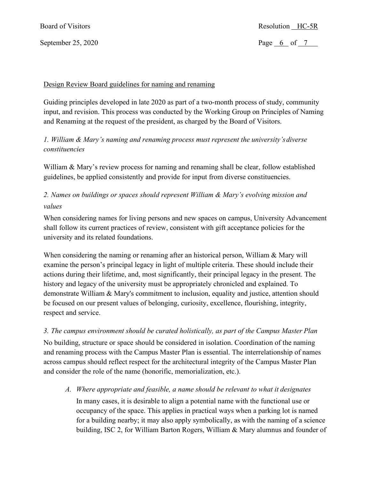## September 25, 2020

Page  $6$  of  $7$ 

### Design Review Board guidelines for naming and renaming

Guiding principles developed in late 2020 as part of a two-month process of study, community input, and revision. This process was conducted by the Working Group on Principles of Naming and Renaming at the request of the president, as charged by the Board of Visitors.

## *1. William & Mary's naming and renaming process must represent the university's diverse constituencies*

William & Mary's review process for naming and renaming shall be clear, follow established guidelines, be applied consistently and provide for input from diverse constituencies.

## *2. Names on buildings or spaces should represent William & Mary's evolving mission and values*

When considering names for living persons and new spaces on campus, University Advancement shall follow its current practices of review, consistent with gift acceptance policies for the university and its related foundations.

When considering the naming or renaming after an historical person, William & Mary will examine the person's principal legacy in light of multiple criteria. These should include their actions during their lifetime, and, most significantly, their principal legacy in the present. The history and legacy of the university must be appropriately chronicled and explained. To demonstrate William & Mary's commitment to inclusion, equality and justice, attention should be focused on our present values of belonging, curiosity, excellence, flourishing, integrity, respect and service.

## *3. The campus environment should be curated holistically, as part of the Campus Master Plan*

No building, structure or space should be considered in isolation. Coordination of the naming and renaming process with the Campus Master Plan is essential. The interrelationship of names across campus should reflect respect for the architectural integrity of the Campus Master Plan and consider the role of the name (honorific, memorialization, etc.).

*A. Where appropriate and feasible, a name should be relevant to what it designates*

In many cases, it is desirable to align a potential name with the functional use or occupancy of the space. This applies in practical ways when a parking lot is named for a building nearby; it may also apply symbolically, as with the naming of a science building, ISC 2, for William Barton Rogers, William & Mary alumnus and founder of